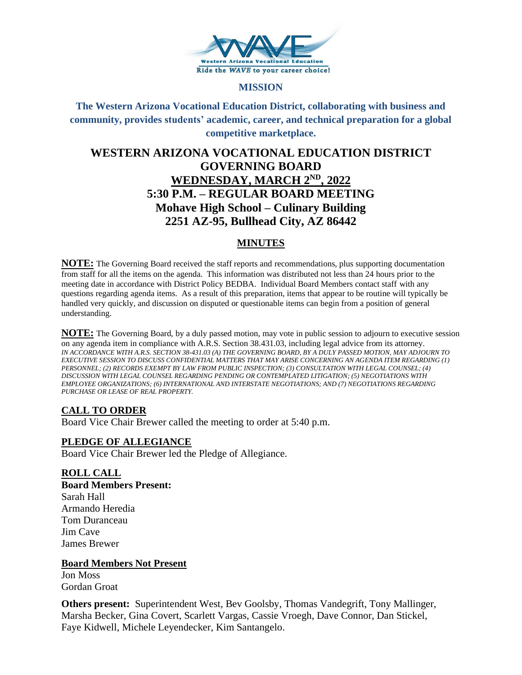

#### **MISSION**

**The Western Arizona Vocational Education District, collaborating with business and community, provides students' academic, career, and technical preparation for a global competitive marketplace.**

# **WESTERN ARIZONA VOCATIONAL EDUCATION DISTRICT GOVERNING BOARD WEDNESDAY, MARCH 2ND, 2022 5:30 P.M. – REGULAR BOARD MEETING Mohave High School – Culinary Building 2251 AZ-95, Bullhead City, AZ 86442**

# **MINUTES**

**NOTE:** The Governing Board received the staff reports and recommendations, plus supporting documentation from staff for all the items on the agenda. This information was distributed not less than 24 hours prior to the meeting date in accordance with District Policy BEDBA. Individual Board Members contact staff with any questions regarding agenda items. As a result of this preparation, items that appear to be routine will typically be handled very quickly, and discussion on disputed or questionable items can begin from a position of general understanding.

**NOTE:** The Governing Board, by a duly passed motion, may vote in public session to adjourn to executive session on any agenda item in compliance with A.R.S. Section 38.431.03, including legal advice from its attorney. *IN ACCORDANCE WITH A.R.S. SECTION 38-431.03 (A) THE GOVERNING BOARD, BY A DULY PASSED MOTION, MAY ADJOURN TO EXECUTIVE SESSION TO DISCUSS CONFIDENTIAL MATTERS THAT MAY ARISE CONCERNING AN AGENDA ITEM REGARDING (1) PERSONNEL; (2) RECORDS EXEMPT BY LAW FROM PUBLIC INSPECTION; (3) CONSULTATION WITH LEGAL COUNSEL; (4) DISCUSSION WITH LEGAL COUNSEL REGARDING PENDING OR CONTEMPLATED LITIGATION; (5) NEGOTIATIONS WITH EMPLOYEE ORGANIZATIONS; (6) INTERNATIONAL AND INTERSTATE NEGOTIATIONS; AND (7) NEGOTIATIONS REGARDING PURCHASE OR LEASE OF REAL PROPERTY.*

# **CALL TO ORDER**

Board Vice Chair Brewer called the meeting to order at 5:40 p.m.

# **PLEDGE OF ALLEGIANCE**

Board Vice Chair Brewer led the Pledge of Allegiance.

#### **ROLL CALL**

**Board Members Present:** Sarah Hall Armando Heredia Tom Duranceau Jim Cave James Brewer

**Board Members Not Present**

Jon Moss Gordan Groat

**Others present:** Superintendent West, Bev Goolsby, Thomas Vandegrift, Tony Mallinger, Marsha Becker, Gina Covert, Scarlett Vargas, Cassie Vroegh, Dave Connor, Dan Stickel, Faye Kidwell, Michele Leyendecker, Kim Santangelo.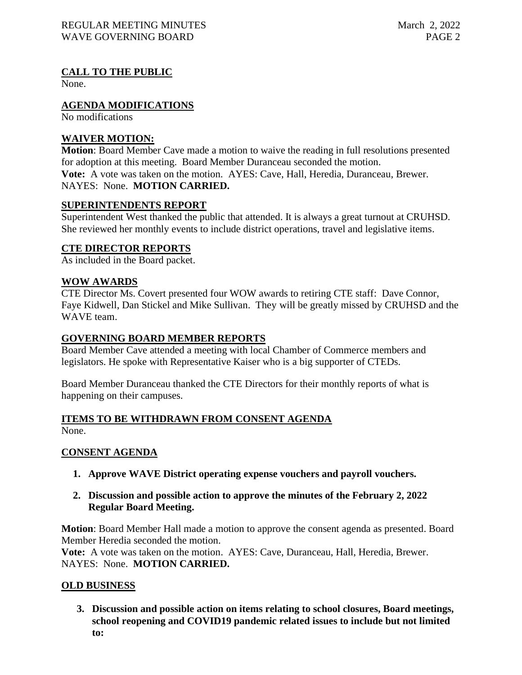# **CALL TO THE PUBLIC**

None.

# **AGENDA MODIFICATIONS**

No modifications

# **WAIVER MOTION:**

**Motion**: Board Member Cave made a motion to waive the reading in full resolutions presented for adoption at this meeting. Board Member Duranceau seconded the motion. **Vote:** A vote was taken on the motion. AYES: Cave, Hall, Heredia, Duranceau, Brewer. NAYES: None. **MOTION CARRIED.**

#### **SUPERINTENDENTS REPORT**

Superintendent West thanked the public that attended. It is always a great turnout at CRUHSD. She reviewed her monthly events to include district operations, travel and legislative items.

# **CTE DIRECTOR REPORTS**

As included in the Board packet.

# **WOW AWARDS**

CTE Director Ms. Covert presented four WOW awards to retiring CTE staff: Dave Connor, Faye Kidwell, Dan Stickel and Mike Sullivan. They will be greatly missed by CRUHSD and the WAVE team.

### **GOVERNING BOARD MEMBER REPORTS**

Board Member Cave attended a meeting with local Chamber of Commerce members and legislators. He spoke with Representative Kaiser who is a big supporter of CTEDs.

Board Member Duranceau thanked the CTE Directors for their monthly reports of what is happening on their campuses.

# **ITEMS TO BE WITHDRAWN FROM CONSENT AGENDA**

None.

# **CONSENT AGENDA**

**1. Approve WAVE District operating expense vouchers and payroll vouchers.**

#### **2. Discussion and possible action to approve the minutes of the February 2, 2022 Regular Board Meeting.**

**Motion**: Board Member Hall made a motion to approve the consent agenda as presented. Board Member Heredia seconded the motion.

**Vote:** A vote was taken on the motion. AYES: Cave, Duranceau, Hall, Heredia, Brewer. NAYES: None. **MOTION CARRIED.**

# **OLD BUSINESS**

**3. Discussion and possible action on items relating to school closures, Board meetings, school reopening and COVID19 pandemic related issues to include but not limited to:**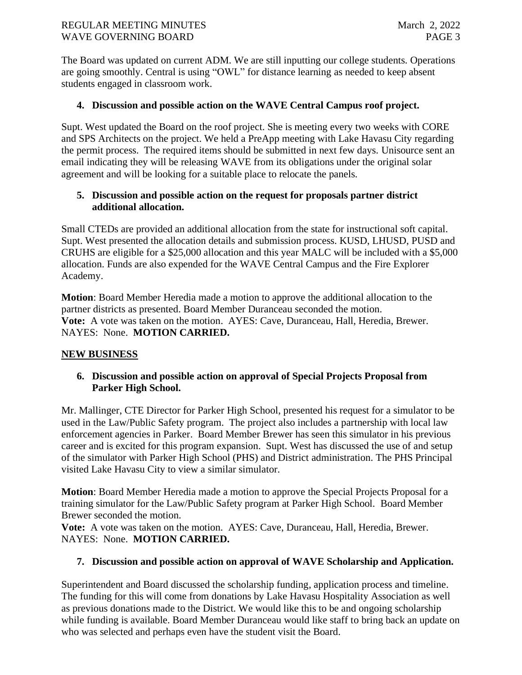The Board was updated on current ADM. We are still inputting our college students. Operations are going smoothly. Central is using "OWL" for distance learning as needed to keep absent students engaged in classroom work.

# **4. Discussion and possible action on the WAVE Central Campus roof project.**

Supt. West updated the Board on the roof project. She is meeting every two weeks with CORE and SPS Architects on the project. We held a PreApp meeting with Lake Havasu City regarding the permit process. The required items should be submitted in next few days. Unisource sent an email indicating they will be releasing WAVE from its obligations under the original solar agreement and will be looking for a suitable place to relocate the panels.

# **5. Discussion and possible action on the request for proposals partner district additional allocation.**

Small CTEDs are provided an additional allocation from the state for instructional soft capital. Supt. West presented the allocation details and submission process. KUSD, LHUSD, PUSD and CRUHS are eligible for a \$25,000 allocation and this year MALC will be included with a \$5,000 allocation. Funds are also expended for the WAVE Central Campus and the Fire Explorer Academy.

**Motion**: Board Member Heredia made a motion to approve the additional allocation to the partner districts as presented. Board Member Duranceau seconded the motion. **Vote:** A vote was taken on the motion. AYES: Cave, Duranceau, Hall, Heredia, Brewer. NAYES: None. **MOTION CARRIED.**

# **NEW BUSINESS**

# **6. Discussion and possible action on approval of Special Projects Proposal from Parker High School.**

Mr. Mallinger, CTE Director for Parker High School, presented his request for a simulator to be used in the Law/Public Safety program. The project also includes a partnership with local law enforcement agencies in Parker. Board Member Brewer has seen this simulator in his previous career and is excited for this program expansion. Supt. West has discussed the use of and setup of the simulator with Parker High School (PHS) and District administration. The PHS Principal visited Lake Havasu City to view a similar simulator.

**Motion**: Board Member Heredia made a motion to approve the Special Projects Proposal for a training simulator for the Law/Public Safety program at Parker High School. Board Member Brewer seconded the motion.

**Vote:** A vote was taken on the motion. AYES: Cave, Duranceau, Hall, Heredia, Brewer. NAYES: None. **MOTION CARRIED.**

# **7. Discussion and possible action on approval of WAVE Scholarship and Application.**

Superintendent and Board discussed the scholarship funding, application process and timeline. The funding for this will come from donations by Lake Havasu Hospitality Association as well as previous donations made to the District. We would like this to be and ongoing scholarship while funding is available. Board Member Duranceau would like staff to bring back an update on who was selected and perhaps even have the student visit the Board.